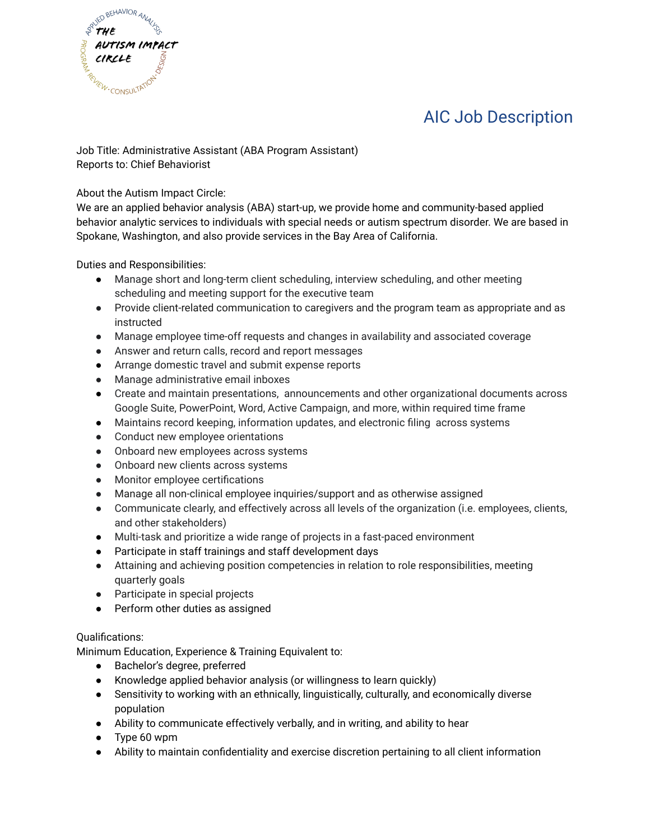

## AIC Job Description

Job Title: Administrative Assistant (ABA Program Assistant) Reports to: Chief Behaviorist

About the Autism Impact Circle:

We are an applied behavior analysis (ABA) start-up, we provide home and community-based applied behavior analytic services to individuals with special needs or autism spectrum disorder. We are based in Spokane, Washington, and also provide services in the Bay Area of California.

Duties and Responsibilities:

- Manage short and long-term client scheduling, interview scheduling, and other meeting scheduling and meeting support for the executive team
- Provide client-related communication to caregivers and the program team as appropriate and as instructed
- Manage employee time-off requests and changes in availability and associated coverage
- Answer and return calls, record and report messages
- Arrange domestic travel and submit expense reports
- Manage administrative email inboxes
- Create and maintain presentations, announcements and other organizational documents across Google Suite, PowerPoint, Word, Active Campaign, and more, within required time frame
- Maintains record keeping, information updates, and electronic filing across systems
- Conduct new employee orientations
- Onboard new employees across systems
- Onboard new clients across systems
- Monitor employee certifications
- Manage all non-clinical employee inquiries/support and as otherwise assigned
- Communicate clearly, and effectively across all levels of the organization (i.e. employees, clients, and other stakeholders)
- Multi-task and prioritize a wide range of projects in a fast-paced environment
- Participate in staff trainings and staff development days
- Attaining and achieving position competencies in relation to role responsibilities, meeting quarterly goals
- Participate in special projects
- Perform other duties as assigned

## Qualifications:

Minimum Education, Experience & Training Equivalent to:

- Bachelor's degree, preferred
- Knowledge applied behavior analysis (or willingness to learn quickly)
- Sensitivity to working with an ethnically, linguistically, culturally, and economically diverse population
- Ability to communicate effectively verbally, and in writing, and ability to hear
- Type 60 wpm
- Ability to maintain confidentiality and exercise discretion pertaining to all client information